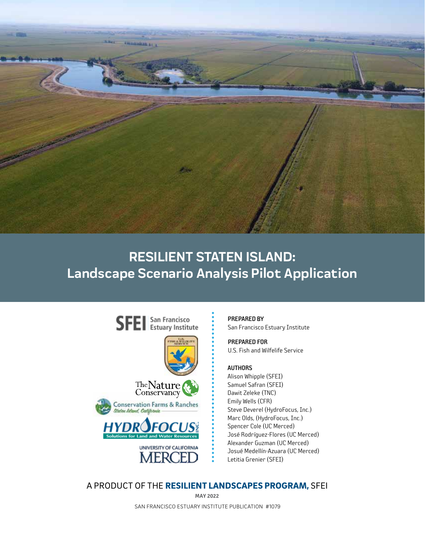

## **RESILIENT STATEN ISLAND: Landscape Scenario Analysis Pilot Application**



PREPARED BY San Francisco Estuary Institute

PREPARED FOR U.S. Fish and Wilfelife Service

#### AUTHORS

Alison Whipple (SFEI) Samuel Safran (SFEI) Dawit Zeleke (TNC) Emily Wells (CFR) Steve Deverel (HydroFocus, Inc.) Marc Olds, (HydroFocus, Inc.) Spencer Cole (UC Merced) José Rodríguez-Flores (UC Merced) Alexander Guzman (UC Merced) Josué Medellín-Azuara (UC Merced) Letitia Grenier (SFEI)

#### A PRODUCT OF THE RESILIENT LANDSCAPES PROGRAM, SFEI

SAN FRANCISCO ESTUARY INSTITUTE PUBLICATION #1079 **MAY 2022**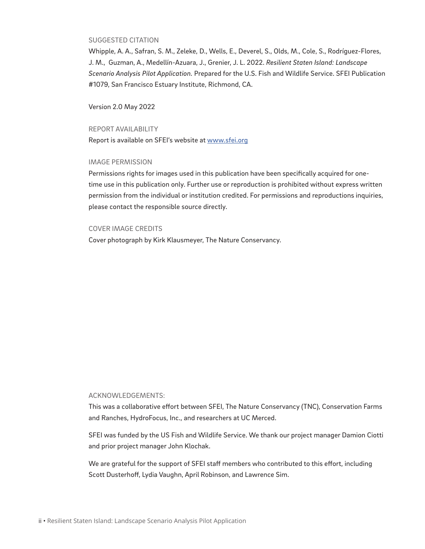#### SUGGESTED CITATION

Whipple, A. A., Safran, S. M., Zeleke, D., Wells, E., Deverel, S., Olds, M., Cole, S., Rodríguez-Flores, J. M., Guzman, A., Medellín-Azuara, J., Grenier, J. L. 2022. *Resilient Staten Island: Landscape Scenario Analysis Pilot Application.* Prepared for the U.S. Fish and Wildlife Service. SFEI Publication #1079, San Francisco Estuary Institute, Richmond, CA.

Version 2.0 May 2022

#### REPORT AVAILABILITY

Report is available on SFEI's website at [www.sfei.org](https://www.sfei.org/projects/landscape-scenario-planning-tool)

#### IMAGE PERMISSION

Permissions rights for images used in this publication have been specifically acquired for onetime use in this publication only. Further use or reproduction is prohibited without express written permission from the individual or institution credited. For permissions and reproductions inquiries, please contact the responsible source directly.

#### COVER IMAGE CREDITS

Cover photograph by Kirk Klausmeyer, The Nature Conservancy.

#### ACKNOWLEDGEMENTS:

This was a collaborative effort between SFEI, The Nature Conservancy (TNC), Conservation Farms and Ranches, HydroFocus, Inc., and researchers at UC Merced.

SFEI was funded by the US Fish and Wildlife Service. We thank our project manager Damion Ciotti and prior project manager John Klochak.

We are grateful for the support of SFEI staff members who contributed to this effort, including Scott Dusterhoff, Lydia Vaughn, April Robinson, and Lawrence Sim.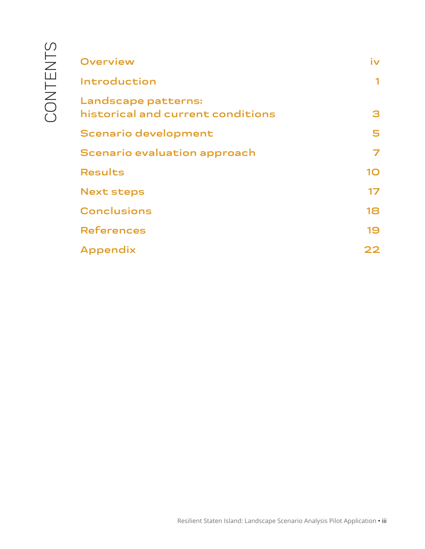| <b>Overview</b>                                          | iv |
|----------------------------------------------------------|----|
| Introduction                                             |    |
| Landscape patterns:<br>historical and current conditions | 3  |
| <b>Scenario development</b>                              | 5  |
| Scenario evaluation approach                             |    |
| <b>Results</b>                                           | 10 |
| <b>Next steps</b>                                        | 17 |
| <b>Conclusions</b>                                       | 18 |
| <b>References</b>                                        | 19 |
| Appendix                                                 | フフ |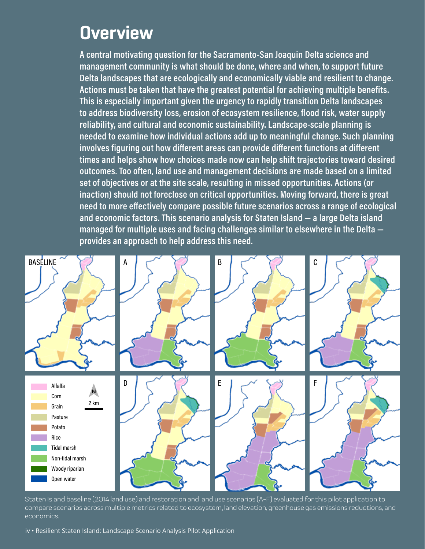# **Overview**

**A central motivating question for the Sacramento-San Joaquin Delta science and management community is what should be done, where and when, to support future Delta landscapes that are ecologically and economically viable and resilient to change. Actions must be taken that have the greatest potential for achieving multiple benefits. This is especially important given the urgency to rapidly transition Delta landscapes to address biodiversity loss, erosion of ecosystem resilience, flood risk, water supply reliability, and cultural and economic sustainability. Landscape-scale planning is needed to examine how individual actions add up to meaningful change. Such planning involves figuring out how different areas can provide different functions at different times and helps show how choices made now can help shift trajectories toward desired outcomes. Too often, land use and management decisions are made based on a limited set of objectives or at the site scale, resulting in missed opportunities. Actions (or inaction) should not foreclose on critical opportunities. Moving forward, there is great need to more effectively compare possible future scenarios across a range of ecological and economic factors. This scenario analysis for Staten Island — a large Delta island managed for multiple uses and facing challenges similar to elsewhere in the Delta provides an approach to help address this need.** 



Staten Island baseline (2014 land use) and restoration and land use scenarios (A-F) evaluated for this pilot application to compare scenarios across multiple metrics related to ecosystem, land elevation, greenhouse gas emissions reductions, and economics.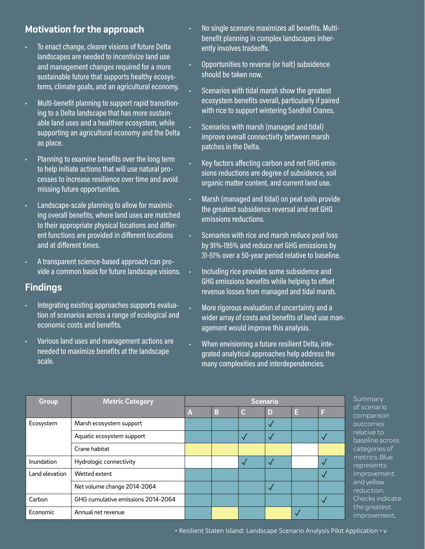### **Motivation for the approach**

- To enact change, clearer visions of future Delta landscapes are needed to incentivize land use and management changes required for a more sustainable future that supports healthy ecosystems, climate goals, and an agricultural economy.
- Multi-benefit planning to support rapid transitioning to a Delta landscape that has more sustainable land uses and a healthier ecosystem, while supporting an agricultural economy and the Delta as place.
- Planning to examine benefits over the long term to help initiate actions that will use natural processes to increase resilience over time and avoid missing future opportunities.
- Landscape-scale planning to allow for maximizing overall benefits, where land uses are matched to their appropriate physical locations and different functions are provided in different locations and at different times.
- A transparent science-based approach can provide a common basis for future landscape visions.

#### **Findings**

- Integrating existing approaches supports evaluation of scenarios across a range of ecological and economic costs and benefits.
- Various land uses and management actions are needed to maximize benefits at the landscape scale.
- No single scenario maximizes all benefits. Multibenefit planning in complex landscapes inherently involves tradeoffs.
- Opportunities to reverse (or halt) subsidence should be taken now.
- Scenarios with tidal marsh show the greatest ecosystem benefits overall, particularly if paired with rice to support wintering Sandhill Cranes.
- Scenarios with marsh (managed and tidal) improve overall connectivity between marsh patches in the Delta.
- Key factors affecting carbon and net GHG emissions reductions are degree of subsidence, soil organic matter content, and current land use.
- Marsh (managed and tidal) on peat soils provide the greatest subsidence reversal and net GHG emissions reductions.
- Scenarios with rice and marsh reduce peat loss by 91%-195% and reduce net GHG emissions by 31-51% over a 50-year period relative to baseline.
- Including rice provides some subsidence and GHG emissions benefits while helping to offset revenue losses from managed and tidal marsh.
- More rigorous evaluation of uncertainty and a wider array of costs and benefits of land use management would improve this analysis.
- When envisioning a future resilient Delta, integrated analytical approaches help address the many complexities and interdependencies.

| Group          | <b>Metric Category</b>             | <b>Scenario</b> |   |   |   | S |   |
|----------------|------------------------------------|-----------------|---|---|---|---|---|
|                |                                    | A               | B | C | D | Е |   |
| Ecosystem      | Marsh ecosystem support            |                 |   |   |   |   |   |
|                | Aquatic ecosystem support          |                 |   |   |   |   |   |
|                | Crane habitat                      |                 |   |   |   |   |   |
| Inundation     | Hydrologic connectivity            |                 |   |   |   |   | n |
| Land elevation | Wetted extent                      |                 |   |   |   |   |   |
|                | Net volume change 2014-2064        |                 |   |   |   |   | a |
| Carbon         | GHG cumulative emissions 2014-2064 |                 |   |   |   |   |   |
| Economic       | Annual net revenue                 |                 |   |   |   |   |   |

iummary f scenario comparison utcomes elative to baseline across ategories of metrics. Blue epresents improvement and yellow eduction. hecks indicate he greatest improvement.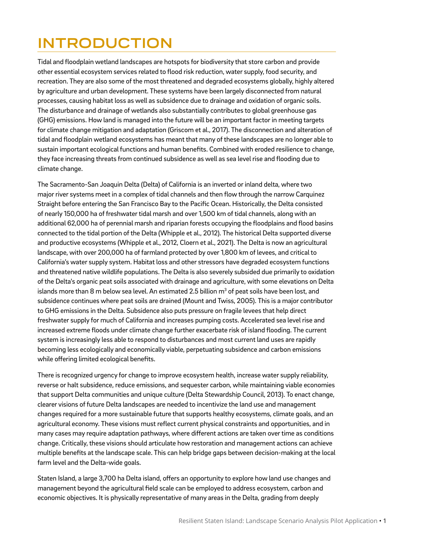## <span id="page-6-0"></span>**INTRODUCTION**

Tidal and floodplain wetland landscapes are hotspots for biodiversity that store carbon and provide other essential ecosystem services related to flood risk reduction, water supply, food security, and recreation. They are also some of the most threatened and degraded ecosystems globally, highly altered by agriculture and urban development. These systems have been largely disconnected from natural processes, causing habitat loss as well as subsidence due to drainage and oxidation of organic soils. The disturbance and drainage of wetlands also substantially contributes to global greenhouse gas (GHG) emissions. How land is managed into the future will be an important factor in meeting targets for climate change mitigation and adaptation (Griscom et al., 2017). The disconnection and alteration of tidal and floodplain wetland ecosystems has meant that many of these landscapes are no longer able to sustain important ecological functions and human benefits. Combined with eroded resilience to change, they face increasing threats from continued subsidence as well as sea level rise and flooding due to climate change.

The Sacramento-San Joaquin Delta (Delta) of California is an inverted or inland delta, where two major river systems meet in a complex of tidal channels and then flow through the narrow Carquinez Straight before entering the San Francisco Bay to the Pacific Ocean. Historically, the Delta consisted of nearly 150,000 ha of freshwater tidal marsh and over 1,500 km of tidal channels, along with an additional 62,000 ha of perennial marsh and riparian forests occupying the floodplains and flood basins connected to the tidal portion of the Delta (Whipple et al., 2012). The historical Delta supported diverse and productive ecosystems (Whipple et al., 2012, Cloern et al., 2021). The Delta is now an agricultural landscape, with over 200,000 ha of farmland protected by over 1,800 km of levees, and critical to California's water supply system. Habitat loss and other stressors have degraded ecosystem functions and threatened native wildlife populations. The Delta is also severely subsided due primarily to oxidation of the Delta's organic peat soils associated with drainage and agriculture, with some elevations on Delta islands more than 8 m below sea level. An estimated 2.5 billion m $^3$  of peat soils have been lost, and subsidence continues where peat soils are drained (Mount and Twiss, 2005). This is a major contributor to GHG emissions in the Delta. Subsidence also puts pressure on fragile levees that help direct freshwater supply for much of California and increases pumping costs. Accelerated sea level rise and increased extreme floods under climate change further exacerbate risk of island flooding. The current system is increasingly less able to respond to disturbances and most current land uses are rapidly becoming less ecologically and economically viable, perpetuating subsidence and carbon emissions while offering limited ecological benefits.

There is recognized urgency for change to improve ecosystem health, increase water supply reliability, reverse or halt subsidence, reduce emissions, and sequester carbon, while maintaining viable economies that support Delta communities and unique culture (Delta Stewardship Council, 2013). To enact change, clearer visions of future Delta landscapes are needed to incentivize the land use and management changes required for a more sustainable future that supports healthy ecosystems, climate goals, and an agricultural economy. These visions must reflect current physical constraints and opportunities, and in many cases may require adaptation pathways, where different actions are taken over time as conditions change. Critically, these visions should articulate how restoration and management actions can achieve multiple benefits at the landscape scale. This can help bridge gaps between decision-making at the local farm level and the Delta-wide goals.

Staten Island, a large 3,700 ha Delta island, offers an opportunity to explore how land use changes and management beyond the agricultural field scale can be employed to address ecosystem, carbon and economic objectives. It is physically representative of many areas in the Delta, grading from deeply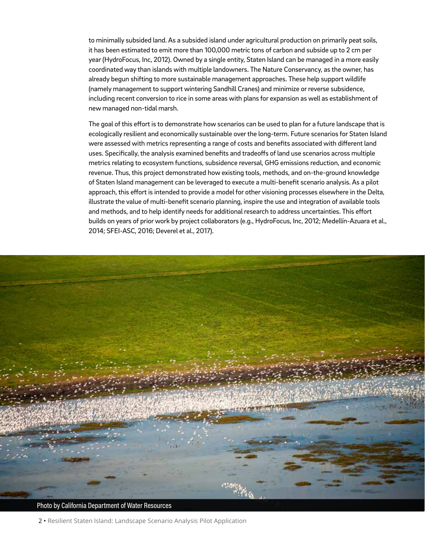to minimally subsided land. As a subsided island under agricultural production on primarily peat soils, it has been estimated to emit more than 100,000 metric tons of carbon and subside up to 2 cm per year (HydroFocus, Inc, 2012). Owned by a single entity, Staten Island can be managed in a more easily coordinated way than islands with multiple landowners. The Nature Conservancy, as the owner, has already begun shifting to more sustainable management approaches. These help support wildlife (namely management to support wintering Sandhill Cranes) and minimize or reverse subsidence, including recent conversion to rice in some areas with plans for expansion as well as establishment of new managed non-tidal marsh.

The goal of this effort is to demonstrate how scenarios can be used to plan for a future landscape that is ecologically resilient and economically sustainable over the long-term. Future scenarios for Staten Island were assessed with metrics representing a range of costs and benefits associated with different land uses. Specifically, the analysis examined benefits and tradeoffs of land use scenarios across multiple metrics relating to ecosystem functions, subsidence reversal, GHG emissions reduction, and economic revenue. Thus, this project demonstrated how existing tools, methods, and on-the-ground knowledge of Staten Island management can be leveraged to execute a multi-benefit scenario analysis. As a pilot approach, this effort is intended to provide a model for other visioning processes elsewhere in the Delta, illustrate the value of multi-benefit scenario planning, inspire the use and integration of available tools and methods, and to help identify needs for additional research to address uncertainties. This effort builds on years of prior work by project collaborators (e.g., HydroFocus, Inc, 2012; Medellín-Azuara et al., 2014; SFEI-ASC, 2016; Deverel et al., 2017).



Photo by California Department of Water Resources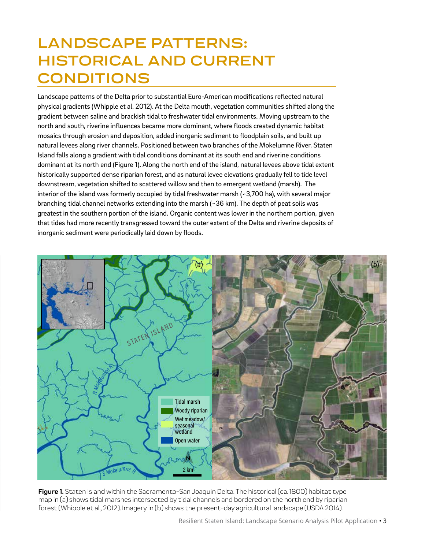## **LANDSCAPE PATTERNS: HISTORICAL AND CURRENT CONDITIONS**

Landscape patterns of the Delta prior to substantial Euro-American modifications reflected natural physical gradients (Whipple et al. 2012). At the Delta mouth, vegetation communities shifted along the gradient between saline and brackish tidal to freshwater tidal environments. Moving upstream to the north and south, riverine influences became more dominant, where floods created dynamic habitat mosaics through erosion and deposition, added inorganic sediment to floodplain soils, and built up natural levees along river channels. Positioned between two branches of the Mokelumne River, Staten Island falls along a gradient with tidal conditions dominant at its south end and riverine conditions dominant at its north end (Figure 1). Along the north end of the island, natural levees above tidal extent historically supported dense riparian forest, and as natural levee elevations gradually fell to tide level downstream, vegetation shifted to scattered willow and then to emergent wetland (marsh). The interior of the island was formerly occupied by tidal freshwater marsh (~3,700 ha), with several major branching tidal channel networks extending into the marsh (~36 km). The depth of peat soils was greatest in the southern portion of the island. Organic content was lower in the northern portion, given that tides had more recently transgressed toward the outer extent of the Delta and riverine deposits of inorganic sediment were periodically laid down by floods.



Figure 1. Staten Island within the Sacramento-San Joaquin Delta. The historical (ca. 1800) habitat type map in (a) shows tidal marshes intersected by tidal channels and bordered on the north end by riparian forest (Whipple et al., 2012). Imagery in (b) shows the present-day agricultural landscape (USDA 2014).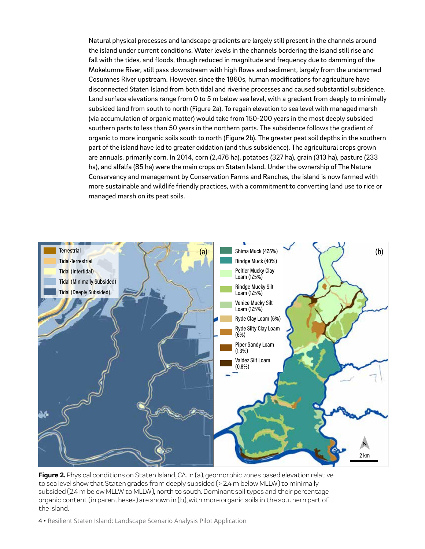<span id="page-9-0"></span>Natural physical processes and landscape gradients are largely still present in the channels around the island under current conditions. Water levels in the channels bordering the island still rise and fall with the tides, and floods, though reduced in magnitude and frequency due to damming of the Mokelumne River, still pass downstream with high flows and sediment, largely from the undammed Cosumnes River upstream. However, since the 1860s, human modifications for agriculture have disconnected Staten Island from both tidal and riverine processes and caused substantial subsidence. Land surface elevations range from 0 to 5 m below sea level, with a gradient from deeply to minimally subsided land from south to north (Figure 2a). To regain elevation to sea level with managed marsh (via accumulation of organic matter) would take from 150-200 years in the most deeply subsided southern parts to less than 50 years in the northern parts. The subsidence follows the gradient of organic to more inorganic soils south to north (Figure 2b). The greater peat soil depths in the southern part of the island have led to greater oxidation (and thus subsidence). The agricultural crops grown are annuals, primarily corn. In 2014, corn (2,476 ha), potatoes (327 ha), grain (313 ha), pasture (233 ha), and alfalfa (85 ha) were the main crops on Staten Island. Under the ownership of The Nature Conservancy and management by Conservation Farms and Ranches, the island is now farmed with more sustainable and wildlife friendly practices, with a commitment to converting land use to rice or managed marsh on its peat soils.



**Figure 2.** Physical conditions on Staten Island, CA. In (a), geomorphic zones based elevation relative to sea level show that Staten grades from deeply subsided (> 2.4 m below MLLW) to minimally subsided (2.4 m below MLLW to MLLW), north to south. Dominant soil types and their percentage organic content (in parentheses) are shown in (b), with more organic soils in the southern part of the island.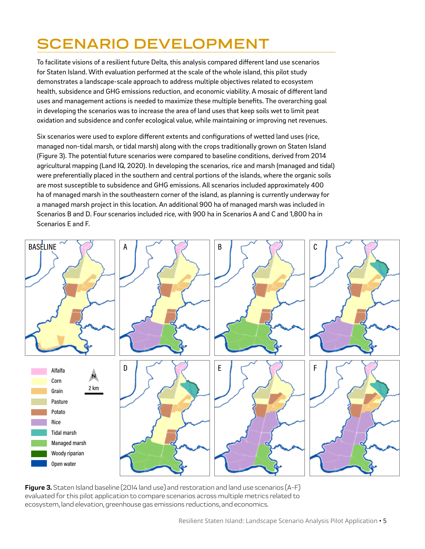## <span id="page-10-0"></span>**SCENARIO DEVELOPMENT**

To facilitate visions of a resilient future Delta, this analysis compared different land use scenarios for Staten Island. With evaluation performed at the scale of the whole island, this pilot study demonstrates a landscape-scale approach to address multiple objectives related to ecosystem health, subsidence and GHG emissions reduction, and economic viability. A mosaic of different land uses and management actions is needed to maximize these multiple benefits. The overarching goal in developing the scenarios was to increase the area of land uses that keep soils wet to limit peat oxidation and subsidence and confer ecological value, while maintaining or improving net revenues.

Six scenarios were used to explore different extents and configurations of wetted land uses (rice, managed non-tidal marsh, or tidal marsh) along with the crops traditionally grown on Staten Island (Figure 3). The potential future scenarios were compared to baseline conditions, derived from 2014 agricultural mapping (Land IQ, 2020). In developing the scenarios, rice and marsh (managed and tidal) were preferentially placed in the southern and central portions of the islands, where the organic soils are most susceptible to subsidence and GHG emissions. All scenarios included approximately 400 ha of managed marsh in the southeastern corner of the island, as planning is currently underway for a managed marsh project in this location. An additional 900 ha of managed marsh was included in Scenarios B and D. Four scenarios included rice, with 900 ha in Scenarios A and C and 1,800 ha in Scenarios E and F.



**Figure 3.** Staten Island baseline (2014 land use) and restoration and land use scenarios (A-F) evaluated for this pilot application to compare scenarios across multiple metrics related to ecosystem, land elevation, greenhouse gas emissions reductions, and economics.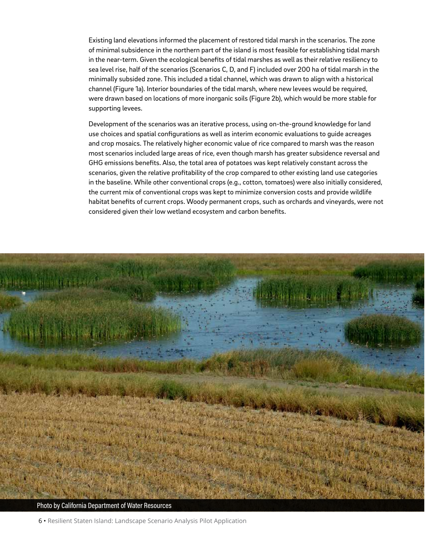Existing land elevations informed the placement of restored tidal marsh in the scenarios. The zone of minimal subsidence in the northern part of the island is most feasible for establishing tidal marsh in the near-term. Given the ecological benefits of tidal marshes as well as their relative resiliency to sea level rise, half of the scenarios (Scenarios C, D, and F) included over 200 ha of tidal marsh in the minimally subsided zone. This included a tidal channel, which was drawn to align with a historical channel (Figure 1a). Interior boundaries of the tidal marsh, where new levees would be required, were drawn based on locations of more inorganic soils (Figure 2b), which would be more stable for supporting levees.

Development of the scenarios was an iterative process, using on-the-ground knowledge for land use choices and spatial configurations as well as interim economic evaluations to guide acreages and crop mosaics. The relatively higher economic value of rice compared to marsh was the reason most scenarios included large areas of rice, even though marsh has greater subsidence reversal and GHG emissions benefits. Also, the total area of potatoes was kept relatively constant across the scenarios, given the relative profitability of the crop compared to other existing land use categories in the baseline. While other conventional crops (e.g., cotton, tomatoes) were also initially considered, the current mix of conventional crops was kept to minimize conversion costs and provide wildlife habitat benefits of current crops. Woody permanent crops, such as orchards and vineyards, were not considered given their low wetland ecosystem and carbon benefits.



Photo by California Department of Water Resources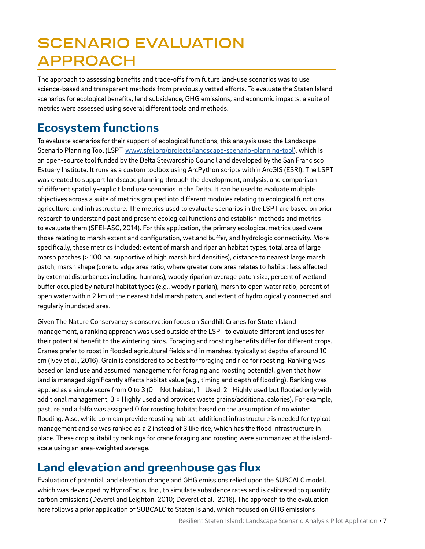# **SCENARIO EVALUATION APPROACH**

The approach to assessing benefits and trade-offs from future land-use scenarios was to use science-based and transparent methods from previously vetted efforts. To evaluate the Staten Island scenarios for ecological benefits, land subsidence, GHG emissions, and economic impacts, a suite of metrics were assessed using several different tools and methods.

## **Ecosystem functions**

To evaluate scenarios for their support of ecological functions, this analysis used the Landscape Scenario Planning Tool (LSPT, [www.sfei.org/projects/landscape-scenario-planning-tool](http://www.sfei.org/projects/landscape-scenario-planning-tool)), which is an open-source tool funded by the Delta Stewardship Council and developed by the San Francisco Estuary Institute. It runs as a custom toolbox using ArcPython scripts within ArcGIS (ESRI). The LSPT was created to support landscape planning through the development, analysis, and comparison of different spatially-explicit land use scenarios in the Delta. It can be used to evaluate multiple objectives across a suite of metrics grouped into different modules relating to ecological functions, agriculture, and infrastructure. The metrics used to evaluate scenarios in the LSPT are based on prior research to understand past and present ecological functions and establish methods and metrics to evaluate them (SFEI-ASC, 2014). For this application, the primary ecological metrics used were those relating to marsh extent and configuration, wetland buffer, and hydrologic connectivity. More specifically, these metrics included: extent of marsh and riparian habitat types, total area of large marsh patches (> 100 ha, supportive of high marsh bird densities), distance to nearest large marsh patch, marsh shape (core to edge area ratio, where greater core area relates to habitat less affected by external disturbances including humans), woody riparian average patch size, percent of wetland buffer occupied by natural habitat types (e.g., woody riparian), marsh to open water ratio, percent of open water within 2 km of the nearest tidal marsh patch, and extent of hydrologically connected and regularly inundated area.

Given The Nature Conservancy's conservation focus on Sandhill Cranes for Staten Island management, a ranking approach was used outside of the LSPT to evaluate different land uses for their potential benefit to the wintering birds. Foraging and roosting benefits differ for different crops. Cranes prefer to roost in flooded agricultural fields and in marshes, typically at depths of around 10 cm (Ivey et al., 2016). Grain is considered to be best for foraging and rice for roosting. Ranking was based on land use and assumed management for foraging and roosting potential, given that how land is managed significantly affects habitat value (e.g., timing and depth of flooding). Ranking was applied as a simple score from 0 to 3 (0 = Not habitat, 1= Used, 2= Highly used but flooded only with additional management, 3 = Highly used and provides waste grains/additional calories). For example, pasture and alfalfa was assigned 0 for roosting habitat based on the assumption of no winter flooding. Also, while corn can provide roosting habitat, additional infrastructure is needed for typical management and so was ranked as a 2 instead of 3 like rice, which has the flood infrastructure in place. These crop suitability rankings for crane foraging and roosting were summarized at the islandscale using an area-weighted average.

## **Land elevation and greenhouse gas flux**

Evaluation of potential land elevation change and GHG emissions relied upon the SUBCALC model, which was developed by HydroFocus, Inc., to simulate subsidence rates and is calibrated to quantify carbon emissions (Deverel and Leighton, 2010; Deverel et al., 2016). The approach to the evaluation here follows a prior application of SUBCALC to Staten Island, which focused on GHG emissions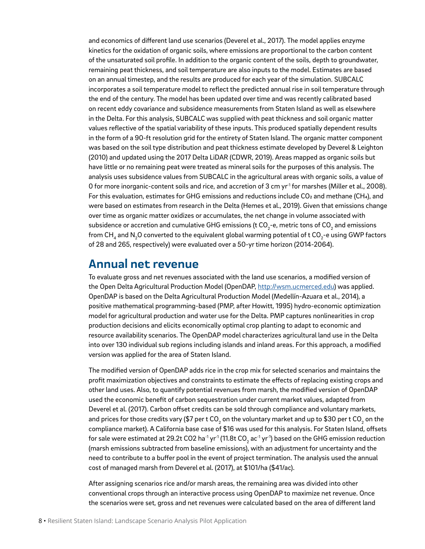and economics of different land use scenarios (Deverel et al., 2017). The model applies enzyme kinetics for the oxidation of organic soils, where emissions are proportional to the carbon content of the unsaturated soil profile. In addition to the organic content of the soils, depth to groundwater, remaining peat thickness, and soil temperature are also inputs to the model. Estimates are based on an annual timestep, and the results are produced for each year of the simulation. SUBCALC incorporates a soil temperature model to reflect the predicted annual rise in soil temperature through the end of the century. The model has been updated over time and was recently calibrated based on recent eddy covariance and subsidence measurements from Staten Island as well as elsewhere in the Delta. For this analysis, SUBCALC was supplied with peat thickness and soil organic matter values reflective of the spatial variability of these inputs. This produced spatially dependent results in the form of a 90-ft resolution grid for the entirety of Staten Island. The organic matter component was based on the soil type distribution and peat thickness estimate developed by Deverel & Leighton (2010) and updated using the 2017 Delta LiDAR (CDWR, 2019). Areas mapped as organic soils but have little or no remaining peat were treated as mineral soils for the purposes of this analysis. The analysis uses subsidence values from SUBCALC in the agricultural areas with organic soils, a value of 0 for more inorganic-content soils and rice, and accretion of 3 cm yr<sup>1</sup> for marshes (Miller et al., 2008). For this evaluation, estimates for GHG emissions and reductions include  $CO<sub>2</sub>$  and methane (CH<sub>4</sub>), and were based on estimates from research in the Delta (Hemes et al., 2019). Given that emissions change over time as organic matter oxidizes or accumulates, the net change in volume associated with subsidence or accretion and cumulative GHG emissions (t CO<sub>2</sub>-e, metric tons of CO<sub>2</sub> and emissions from CH $_{\rm_4}$  and N $_{\rm_2}$ O converted to the equivalent global warming potential of t CO $_{\rm_2}$ -e using GWP factors of 28 and 265, respectively) were evaluated over a 50-yr time horizon (2014-2064).

#### **Annual net revenue**

To evaluate gross and net revenues associated with the land use scenarios, a modified version of the Open Delta Agricultural Production Model (OpenDAP, [http://wsm.ucmerced.edu\)](http://wsm.ucmerced.edu) was applied. OpenDAP is based on the Delta Agricultural Production Model (Medellín-Azuara et al., 2014), a positive mathematical programming-based (PMP, after Howitt, 1995) hydro-economic optimization model for agricultural production and water use for the Delta. PMP captures nonlinearities in crop production decisions and elicits economically optimal crop planting to adapt to economic and resource availability scenarios. The OpenDAP model characterizes agricultural land use in the Delta into over 130 individual sub regions including islands and inland areas. For this approach, a modified version was applied for the area of Staten Island.

The modified version of OpenDAP adds rice in the crop mix for selected scenarios and maintains the profit maximization objectives and constraints to estimate the effects of replacing existing crops and other land uses. Also, to quantify potential revenues from marsh, the modified version of OpenDAP used the economic benefit of carbon sequestration under current market values, adapted from Deverel et al. (2017). Carbon offset credits can be sold through compliance and voluntary markets, and prices for those credits vary (\$7 per t CO<sub>2</sub> on the voluntary market and up to \$30 per t CO<sub>2</sub> on the compliance market). A California base case of \$16 was used for this analysis. For Staten Island, offsets for sale were estimated at 29.2t CO2 ha $^{\text{\tiny{\textup{1}}}}$ yr $^{\text{\tiny{\textup{1}}}}$  (11.8t CO<sub>2</sub> ac $^{\text{\tiny{\textup{1}}}}$  yr $^{\text{\tiny{\textup{1}}}}$ ) based on the GHG emission reduction (marsh emissions subtracted from baseline emissions), with an adjustment for uncertainty and the need to contribute to a buffer pool in the event of project termination. The analysis used the annual cost of managed marsh from Deverel et al. (2017), at \$101/ha (\$41/ac).

After assigning scenarios rice and/or marsh areas, the remaining area was divided into other conventional crops through an interactive process using OpenDAP to maximize net revenue. Once the scenarios were set, gross and net revenues were calculated based on the area of different land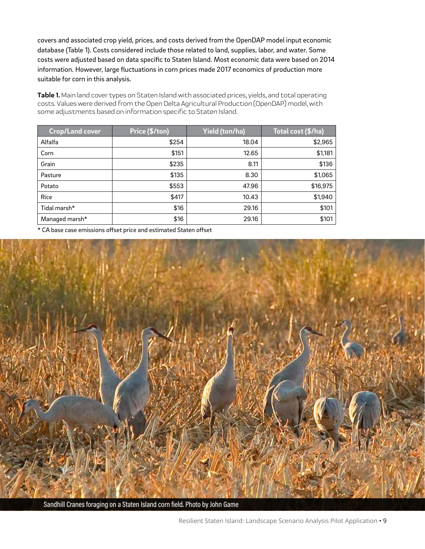covers and associated crop yield, prices, and costs derived from the OpenDAP model input economic database (Table 1). Costs considered include those related to land, supplies, labor, and water. Some costs were adjusted based on data specific to Staten Island. Most economic data were based on 2014 information. However, large fluctuations in corn prices made 2017 economics of production more suitable for corn in this analysis.

**Table 1.** Main land cover types on Staten Island with associated prices, yields, and total operating costs. Values were derived from the Open Delta Agricultural Production (OpenDAP) model, with some adjustments based on information specific to Staten Island.

| <b>Crop/Land cover</b> | Price (\$/ton) | Yield (ton/ha) | Total cost (\$/ha) |
|------------------------|----------------|----------------|--------------------|
| Alfalfa                | \$254          | 18.04          | \$2,965            |
| Corn                   | \$151          | 12.65          | \$1,181            |
| Grain                  | \$235          | 8.11           | \$136              |
| Pasture                | \$135          | 8.30           | \$1,065            |
| Potato                 | \$553          | 47.96          | \$16,975           |
| Rice                   | \$417          | 10.43          | \$1,940            |
| Tidal marsh*           | \$16           | 29.16          | \$101              |
| Managed marsh*         | \$16           | 29.16          | \$101              |

\* CA base case emissions offset price and estimated Staten offset



Sandhill Cranes foraging on a Staten Island corn field. Photo by John Game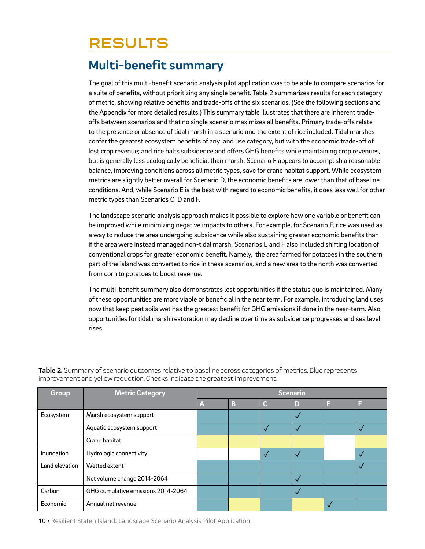## **RESULTS**

### **Multi-benefit summary**

The goal of this multi-benefit scenario analysis pilot application was to be able to compare scenarios for a suite of benefits, without prioritizing any single benefit. Table 2 summarizes results for each category of metric, showing relative benefits and trade-offs of the six scenarios. (See the following sections and the Appendix for more detailed results.) This summary table illustrates that there are inherent tradeoffs between scenarios and that no single scenario maximizes all benefits. Primary trade-offs relate to the presence or absence of tidal marsh in a scenario and the extent of rice included. Tidal marshes confer the greatest ecosystem benefits of any land use category, but with the economic trade-off of lost crop revenue; and rice halts subsidence and offers GHG benefits while maintaining crop revenues, but is generally less ecologically beneficial than marsh. Scenario F appears to accomplish a reasonable balance, improving conditions across all metric types, save for crane habitat support. While ecosystem metrics are slightly better overall for Scenario D, the economic benefits are lower than that of baseline conditions. And, while Scenario E is the best with regard to economic benefits, it does less well for other metric types than Scenarios C, D and F.

The landscape scenario analysis approach makes it possible to explore how one variable or benefit can be improved while minimizing negative impacts to others. For example, for Scenario F, rice was used as a way to reduce the area undergoing subsidence while also sustaining greater economic benefits than if the area were instead managed non-tidal marsh. Scenarios E and F also included shifting location of conventional crops for greater economic benefit. Namely, the area farmed for potatoes in the southern part of the island was converted to rice in these scenarios, and a new area to the north was converted from corn to potatoes to boost revenue.

The multi-benefit summary also demonstrates lost opportunities if the status quo is maintained. Many of these opportunities are more viable or beneficial in the near term. For example, introducing land uses now that keep peat soils wet has the greatest benefit for GHG emissions if done in the near-term. Also, opportunities for tidal marsh restoration may decline over time as subsidence progresses and sea level rises.

| Group          | <b>Metric Category</b>             | <b>Scenario</b> |   |              |   |   |  |
|----------------|------------------------------------|-----------------|---|--------------|---|---|--|
|                |                                    | A               | B | C            | D | Е |  |
| Ecosystem      | Marsh ecosystem support            |                 |   |              |   |   |  |
|                | Aquatic ecosystem support          |                 |   | $\checkmark$ |   |   |  |
|                | Crane habitat                      |                 |   |              |   |   |  |
| Inundation     | Hydrologic connectivity            |                 |   | $\checkmark$ |   |   |  |
| Land elevation | Wetted extent                      |                 |   |              |   |   |  |
|                | Net volume change 2014-2064        |                 |   |              |   |   |  |
| Carbon         | GHG cumulative emissions 2014-2064 |                 |   |              |   |   |  |
| Economic       | Annual net revenue                 |                 |   |              |   |   |  |

**Table 2.** Summary of scenario outcomes relative to baseline across categories of metrics. Blue represents improvement and yellow reduction. Checks indicate the greatest improvement.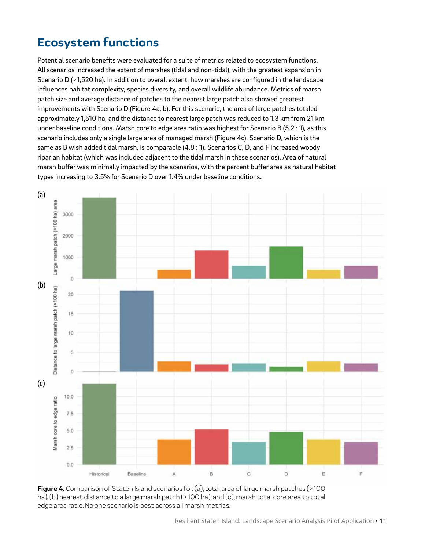## **Ecosystem functions**

Potential scenario benefits were evaluated for a suite of metrics related to ecosystem functions. All scenarios increased the extent of marshes (tidal and non-tidal), with the greatest expansion in Scenario D (~1,520 ha). In addition to overall extent, how marshes are configured in the landscape influences habitat complexity, species diversity, and overall wildlife abundance. Metrics of marsh patch size and average distance of patches to the nearest large patch also showed greatest improvements with Scenario D (Figure 4a, b). For this scenario, the area of large patches totaled approximately 1,510 ha, and the distance to nearest large patch was reduced to 1.3 km from 21 km under baseline conditions. Marsh core to edge area ratio was highest for Scenario B (5.2 : 1), as this scenario includes only a single large area of managed marsh (Figure 4c). Scenario D, which is the same as B wish added tidal marsh, is comparable (4.8 : 1). Scenarios C, D, and F increased woody riparian habitat (which was included adjacent to the tidal marsh in these scenarios). Area of natural marsh buffer was minimally impacted by the scenarios, with the percent buffer area as natural habitat types increasing to 3.5% for Scenario D over 1.4% under baseline conditions.



**Figure 4.** Comparison of Staten Island scenarios for, (a), total area of large marsh patches (> 100 ha), (b) nearest distance to a large marsh patch (> 100 ha), and (c), marsh total core area to total edge area ratio. No one scenario is best across all marsh metrics.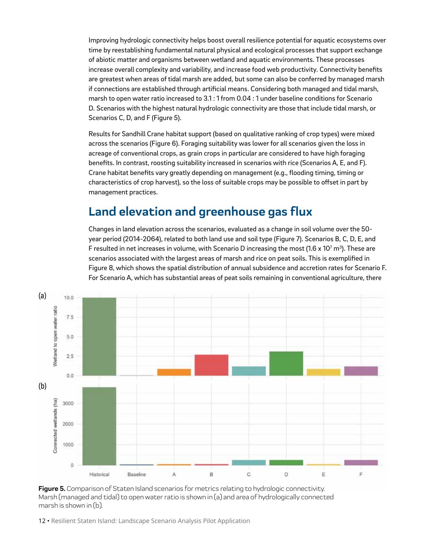Improving hydrologic connectivity helps boost overall resilience potential for aquatic ecosystems over time by reestablishing fundamental natural physical and ecological processes that support exchange of abiotic matter and organisms between wetland and aquatic environments. These processes increase overall complexity and variability, and increase food web productivity. Connectivity benefits are greatest when areas of tidal marsh are added, but some can also be conferred by managed marsh if connections are established through artificial means. Considering both managed and tidal marsh, marsh to open water ratio increased to 3.1: 1 from 0.04: 1 under baseline conditions for Scenario D. Scenarios with the highest natural hydrologic connectivity are those that include tidal marsh, or Scenarios C, D, and F (Figure 5).

Results for Sandhill Crane habitat support (based on qualitative ranking of crop types) were mixed across the scenarios (Figure 6). Foraging suitability was lower for all scenarios given the loss in acreage of conventional crops, as grain crops in particular are considered to have high foraging benefits. In contrast, roosting suitability increased in scenarios with rice (Scenarios A, E, and F). Crane habitat benefits vary greatly depending on management (e.g., flooding timing, timing or characteristics of crop harvest), so the loss of suitable crops may be possible to offset in part by management practices.

### **Land elevation and greenhouse gas flux**

Changes in land elevation across the scenarios, evaluated as a change in soil volume over the 50 year period (2014-2064), related to both land use and soil type (Figure 7). Scenarios B, C, D, E, and F resulted in net increases in volume, with Scenario D increasing the most (1.6 x 10<sup>7</sup> m<sup>3</sup>). These are scenarios associated with the largest areas of marsh and rice on peat soils. This is exemplified in Figure 8, which shows the spatial distribution of annual subsidence and accretion rates for Scenario F. For Scenario A, which has substantial areas of peat soils remaining in conventional agriculture, there



**Figure 5.** Comparison of Staten Island scenarios for metrics relating to hydrologic connectivity. Marsh (managed and tidal) to open water ratio is shown in (a) and area of hydrologically connected marsh is shown in (b).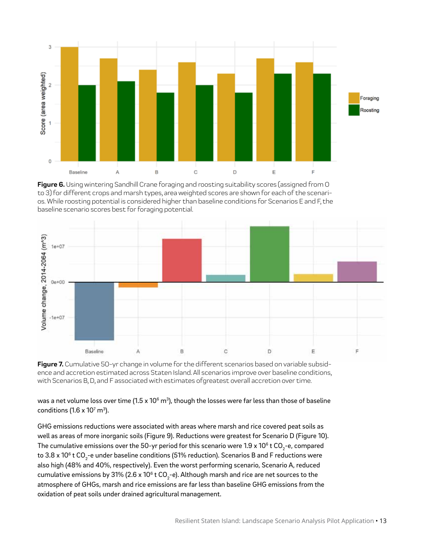

**Figure 6.** Using wintering Sandhill Crane foraging and roosting suitability scores (assigned from O to 3) for different crops and marsh types, area weighted scores are shown for each of the scenarios. While roosting potential is considered higher than baseline conditions for Scenarios E and F, the baseline scenario scores best for foraging potential.



**Figure 7.** Cumulative 50-yr change in volume for the different scenarios based on variable subsidence and accretion estimated across Staten Island. All scenarios improve over baseline conditions, with Scenarios B, D, and F associated with estimates ofgreatest overall accretion over time.

was a net volume loss over time (1.5 x 10 $^{\rm 6}$  m $^{\rm 3)}$ , though the losses were far less than those of baseline conditions (1.6 x 10<sup>7</sup> m<sup>3</sup>).

GHG emissions reductions were associated with areas where marsh and rice covered peat soils as well as areas of more inorganic soils (Figure 9). Reductions were greatest for Scenario D (Figure 10). The cumulative emissions over the 50-yr period for this scenario were 1.9 x 10 $^{\rm 6}$  t CO<sub>2</sub>-e, compared to 3.8 x 10 $^{\rm 6}$  t CO<sub>2</sub>-e under baseline conditions (51% reduction). Scenarios B and F reductions were also high (48% and 40%, respectively). Even the worst performing scenario, Scenario A, reduced cumulative emissions by 31% (2.6 x 10 $^{\rm 6}$  t CO $_2$ -e). Although marsh and rice are net sources to the atmosphere of GHGs, marsh and rice emissions are far less than baseline GHG emissions from the oxidation of peat soils under drained agricultural management.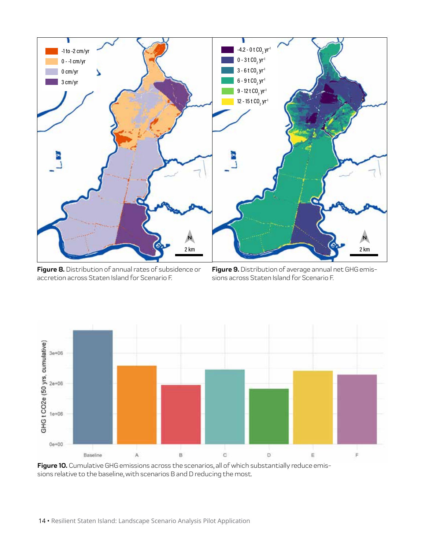

**Figure 8.** Distribution of annual rates of subsidence or accretion across Staten Island for Scenario F.

**Figure 9.** Distribution of average annual net GHG emissions across Staten Island for Scenario F.



Figure 10. Cumulative GHG emissions across the scenarios, all of which substantially reduce emissions relative to the baseline, with scenarios B and D reducing the most.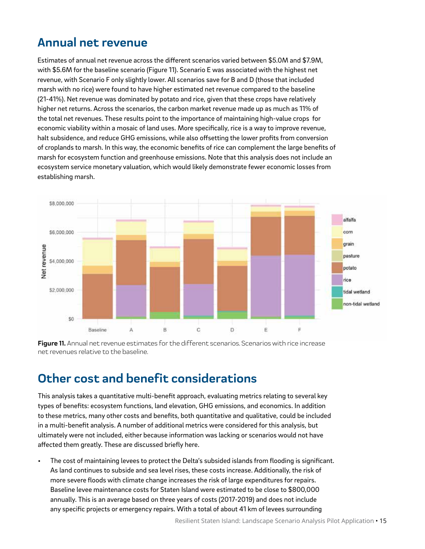### **Annual net revenue**

Estimates of annual net revenue across the different scenarios varied between \$5.0M and \$7.9M, with \$5.6M for the baseline scenario (Figure 11). Scenario E was associated with the highest net revenue, with Scenario F only slightly lower. All scenarios save for B and D (those that included marsh with no rice) were found to have higher estimated net revenue compared to the baseline (21-41%). Net revenue was dominated by potato and rice, given that these crops have relatively higher net returns. Across the scenarios, the carbon market revenue made up as much as 11% of the total net revenues. These results point to the importance of maintaining high-value crops for economic viability within a mosaic of land uses. More specifically, rice is a way to improve revenue, halt subsidence, and reduce GHG emissions, while also offsetting the lower profits from conversion of croplands to marsh. In this way, the economic benefits of rice can complement the large benefits of marsh for ecosystem function and greenhouse emissions. Note that this analysis does not include an ecosystem service monetary valuation, which would likely demonstrate fewer economic losses from establishing marsh.



**Figure 11.** Annual net revenue estimates for the different scenarios. Scenarios with rice increase net revenues relative to the baseline.

### **Other cost and benefit considerations**

This analysis takes a quantitative multi-benefit approach, evaluating metrics relating to several key types of benefits: ecosystem functions, land elevation, GHG emissions, and economics. In addition to these metrics, many other costs and benefits, both quantitative and qualitative, could be included in a multi-benefit analysis. A number of additional metrics were considered for this analysis, but ultimately were not included, either because information was lacking or scenarios would not have affected them greatly. These are discussed briefly here.

• The cost of maintaining levees to protect the Delta's subsided islands from flooding is significant. As land continues to subside and sea level rises, these costs increase. Additionally, the risk of more severe floods with climate change increases the risk of large expenditures for repairs. Baseline levee maintenance costs for Staten Island were estimated to be close to \$800,000 annually. This is an average based on three years of costs (2017-2019) and does not include any specific projects or emergency repairs. With a total of about 41 km of levees surrounding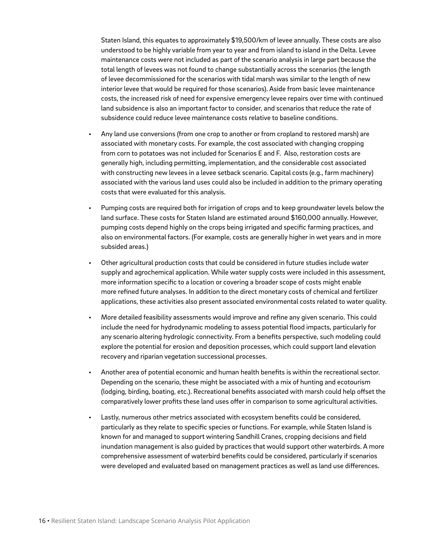Staten Island, this equates to approximately \$19,500/km of levee annually. These costs are also understood to be highly variable from year to year and from island to island in the Delta. Levee maintenance costs were not included as part of the scenario analysis in large part because the total length of levees was not found to change substantially across the scenarios (the length of levee decommissioned for the scenarios with tidal marsh was similar to the length of new interior levee that would be required for those scenarios). Aside from basic levee maintenance costs, the increased risk of need for expensive emergency levee repairs over time with continued land subsidence is also an important factor to consider, and scenarios that reduce the rate of subsidence could reduce levee maintenance costs relative to baseline conditions.

- Any land use conversions (from one crop to another or from cropland to restored marsh) are associated with monetary costs. For example, the cost associated with changing cropping from corn to potatoes was not included for Scenarios E and F. Also, restoration costs are generally high, including permitting, implementation, and the considerable cost associated with constructing new levees in a levee setback scenario. Capital costs (e.g., farm machinery) associated with the various land uses could also be included in addition to the primary operating costs that were evaluated for this analysis.
- Pumping costs are required both for irrigation of crops and to keep groundwater levels below the land surface. These costs for Staten Island are estimated around \$160,000 annually. However, pumping costs depend highly on the crops being irrigated and specific farming practices, and also on environmental factors. (For example, costs are generally higher in wet years and in more subsided areas.)
- Other agricultural production costs that could be considered in future studies include water supply and agrochemical application. While water supply costs were included in this assessment, more information specific to a location or covering a broader scope of costs might enable more refined future analyses. In addition to the direct monetary costs of chemical and fertilizer applications, these activities also present associated environmental costs related to water quality.
- More detailed feasibility assessments would improve and refine any given scenario. This could include the need for hydrodynamic modeling to assess potential flood impacts, particularly for any scenario altering hydrologic connectivity. From a benefits perspective, such modeling could explore the potential for erosion and deposition processes, which could support land elevation recovery and riparian vegetation successional processes.
- Another area of potential economic and human health benefits is within the recreational sector. Depending on the scenario, these might be associated with a mix of hunting and ecotourism (lodging, birding, boating, etc.). Recreational benefits associated with marsh could help offset the comparatively lower profits these land uses offer in comparison to some agricultural activities.
- Lastly, numerous other metrics associated with ecosystem benefits could be considered, particularly as they relate to specific species or functions. For example, while Staten Island is known for and managed to support wintering Sandhill Cranes, cropping decisions and field inundation management is also guided by practices that would support other waterbirds. A more comprehensive assessment of waterbird benefits could be considered, particularly if scenarios were developed and evaluated based on management practices as well as land use differences.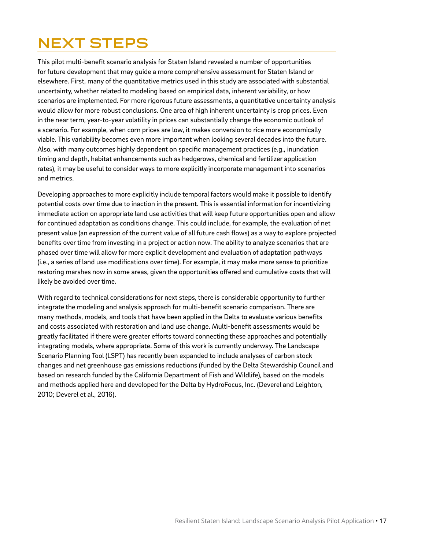# **NEXT STEPS**

This pilot multi-benefit scenario analysis for Staten Island revealed a number of opportunities for future development that may guide a more comprehensive assessment for Staten Island or elsewhere. First, many of the quantitative metrics used in this study are associated with substantial uncertainty, whether related to modeling based on empirical data, inherent variability, or how scenarios are implemented. For more rigorous future assessments, a quantitative uncertainty analysis would allow for more robust conclusions. One area of high inherent uncertainty is crop prices. Even in the near term, year-to-year volatility in prices can substantially change the economic outlook of a scenario. For example, when corn prices are low, it makes conversion to rice more economically viable. This variability becomes even more important when looking several decades into the future. Also, with many outcomes highly dependent on specific management practices (e.g., inundation timing and depth, habitat enhancements such as hedgerows, chemical and fertilizer application rates), it may be useful to consider ways to more explicitly incorporate management into scenarios and metrics.

Developing approaches to more explicitly include temporal factors would make it possible to identify potential costs over time due to inaction in the present. This is essential information for incentivizing immediate action on appropriate land use activities that will keep future opportunities open and allow for continued adaptation as conditions change. This could include, for example, the evaluation of net present value (an expression of the current value of all future cash flows) as a way to explore projected benefits over time from investing in a project or action now. The ability to analyze scenarios that are phased over time will allow for more explicit development and evaluation of adaptation pathways (i.e., a series of land use modifications over time). For example, it may make more sense to prioritize restoring marshes now in some areas, given the opportunities offered and cumulative costs that will likely be avoided over time.

With regard to technical considerations for next steps, there is considerable opportunity to further integrate the modeling and analysis approach for multi-benefit scenario comparison. There are many methods, models, and tools that have been applied in the Delta to evaluate various benefits and costs associated with restoration and land use change. Multi-benefit assessments would be greatly facilitated if there were greater efforts toward connecting these approaches and potentially integrating models, where appropriate. Some of this work is currently underway. The Landscape Scenario Planning Tool (LSPT) has recently been expanded to include analyses of carbon stock changes and net greenhouse gas emissions reductions (funded by the Delta Stewardship Council and based on research funded by the California Department of Fish and Wildlife), based on the models and methods applied here and developed for the Delta by HydroFocus, Inc. (Deverel and Leighton, 2010; Deverel et al., 2016).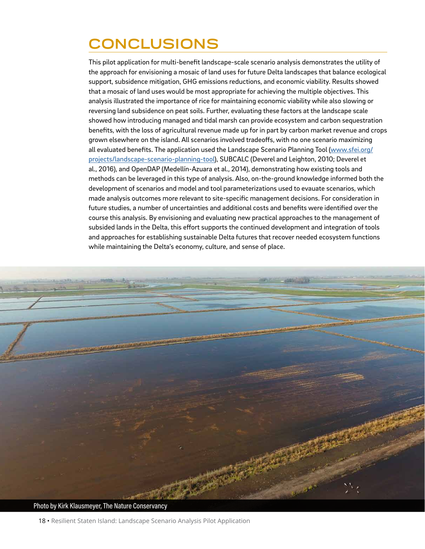# **CONCLUSIONS**

This pilot application for multi-benefit landscape-scale scenario analysis demonstrates the utility of the approach for envisioning a mosaic of land uses for future Delta landscapes that balance ecological support, subsidence mitigation, GHG emissions reductions, and economic viability. Results showed that a mosaic of land uses would be most appropriate for achieving the multiple objectives. This analysis illustrated the importance of rice for maintaining economic viability while also slowing or reversing land subsidence on peat soils. Further, evaluating these factors at the landscape scale showed how introducing managed and tidal marsh can provide ecosystem and carbon sequestration benefits, with the loss of agricultural revenue made up for in part by carbon market revenue and crops grown elsewhere on the island. All scenarios involved tradeoffs, with no one scenario maximizing all evaluated benefits. The application used the Landscape Scenario Planning Tool [\(www.sfei.org/](http://www.sfei.org/projects/landscape-scenario-planning-tool) [projects/landscape-scenario-planning-tool](http://www.sfei.org/projects/landscape-scenario-planning-tool)), SUBCALC (Deverel and Leighton, 2010; Deverel et al., 2016), and OpenDAP (Medellín-Azuara et al., 2014), demonstrating how existing tools and methods can be leveraged in this type of analysis. Also, on-the-ground knowledge informed both the development of scenarios and model and tool parameterizations used to evauate scenarios, which made analysis outcomes more relevant to site-specific management decisions. For consideration in future studies, a number of uncertainties and additional costs and benefits were identified over the course this analysis. By envisioning and evaluating new practical approaches to the management of subsided lands in the Delta, this effort supports the continued development and integration of tools and approaches for establishing sustainable Delta futures that recover needed ecosystem functions while maintaining the Delta's economy, culture, and sense of place.

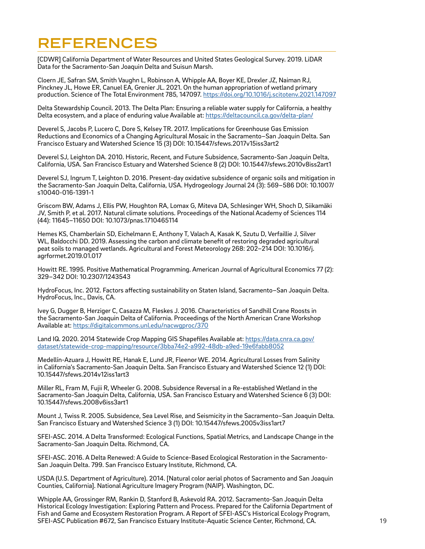## **REFERENCES**

[CDWR] California Department of Water Resources and United States Geological Survey. 2019. LiDAR Data for the Sacramento-San Joaquin Delta and Suisun Marsh.

Cloern JE, Safran SM, Smith Vaughn L, Robinson A, Whipple AA, Boyer KE, Drexler JZ, Naiman RJ, Pinckney JL, Howe ER, Canuel EA, Grenier JL. 2021. On the human appropriation of wetland primary production. Science of The Total Environment 785, 147097. <https://doi.org/10.1016/j.scitotenv.2021.147097>

Delta Stewardship Council. 2013. The Delta Plan: Ensuring a reliable water supply for California, a healthy Delta ecosystem, and a place of enduring value Available at:<https://deltacouncil.ca.gov/delta-plan/>

Deverel S, Jacobs P, Lucero C, Dore S, Kelsey TR. 2017. Implications for Greenhouse Gas Emission Reductions and Economics of a Changing Agricultural Mosaic in the Sacramento–San Joaquin Delta. San Francisco Estuary and Watershed Science 15 (3) DOI: 10.15447/sfews.2017v15iss3art2

Deverel SJ, Leighton DA. 2010. Historic, Recent, and Future Subsidence, Sacramento-San Joaquin Delta, California, USA. San Francisco Estuary and Watershed Science 8 (2) DOI: 10.15447/sfews.2010v8iss2art1

Deverel SJ, Ingrum T, Leighton D. 2016. Present-day oxidative subsidence of organic soils and mitigation in the Sacramento-San Joaquin Delta, California, USA. Hydrogeology Journal 24 (3): 569–586 DOI: 10.1007/ s10040-016-1391-1

Griscom BW, Adams J, Ellis PW, Houghton RA, Lomax G, Miteva DA, Schlesinger WH, Shoch D, Siikamäki JV, Smith P, et al. 2017. Natural climate solutions. Proceedings of the National Academy of Sciences 114 (44): 11645–11650 DOI: 10.1073/pnas.1710465114

Hemes KS, Chamberlain SD, Eichelmann E, Anthony T, Valach A, Kasak K, Szutu D, Verfaillie J, Silver WL, Baldocchi DD. 2019. Assessing the carbon and climate benefit of restoring degraded agricultural peat soils to managed wetlands. Agricultural and Forest Meteorology 268: 202–214 DOI: 10.1016/j. agrformet.2019.01.017

Howitt RE. 1995. Positive Mathematical Programming. American Journal of Agricultural Economics 77 (2): 329–342 DOI: 10.2307/1243543

HydroFocus, Inc. 2012. Factors affecting sustainability on Staten Island, Sacramento–San Joaquin Delta. HydroFocus, Inc., Davis, CA.

Ivey G, Dugger B, Herziger C, Casazza M, Fleskes J. 2016. Characteristics of Sandhill Crane Roosts in the Sacramento-San Joaquin Delta of California. Proceedings of the North American Crane Workshop Available at:<https://digitalcommons.unl.edu/nacwgproc/370>

Land IQ. 2020. 2014 Statewide Crop Mapping GIS Shapefiles Available at: [https://data.cnra.ca.gov/](https://data.cnra.ca.gov/dataset/statewide-crop-mapping/resource/3bba74e2-a992-48db-a9ed-19e6fabb805) [dataset/statewide-crop-mapping/resource/3bba74e2-a992-48db-a9ed-19e6fabb8052](https://data.cnra.ca.gov/dataset/statewide-crop-mapping/resource/3bba74e2-a992-48db-a9ed-19e6fabb805)

Medellín-Azuara J, Howitt RE, Hanak E, Lund JR, Fleenor WE. 2014. Agricultural Losses from Salinity in California's Sacramento-San Joaquin Delta. San Francisco Estuary and Watershed Science 12 (1) DOI: 10.15447/sfews.2014v12iss1art3

Miller RL, Fram M, Fujii R, Wheeler G. 2008. Subsidence Reversal in a Re-established Wetland in the Sacramento-San Joaquin Delta, California, USA. San Francisco Estuary and Watershed Science 6 (3) DOI: 10.15447/sfews.2008v6iss3art1

Mount J, Twiss R. 2005. Subsidence, Sea Level Rise, and Seismicity in the Sacramento–San Joaquin Delta. San Francisco Estuary and Watershed Science 3 (1) DOI: 10.15447/sfews.2005v3iss1art7

SFEI-ASC. 2014. A Delta Transformed: Ecological Functions, Spatial Metrics, and Landscape Change in the Sacramento-San Joaquin Delta. Richmond, CA.

SFEI-ASC. 2016. A Delta Renewed: A Guide to Science-Based Ecological Restoration in the Sacramento-San Joaquin Delta. 799. San Francisco Estuary Institute, Richmond, CA.

USDA (U.S. Department of Agriculture). 2014. [Natural color aerial photos of Sacramento and San Joaquin Counties, California]. National Agriculture Imagery Program (NAIP). Washington, DC.

Whipple AA, Grossinger RM, Rankin D, Stanford B, Askevold RA. 2012. Sacramento-San Joaquin Delta Historical Ecology Investigation: Exploring Pattern and Process. Prepared for the California Department of Fish and Game and Ecosystem Restoration Program. A Report of SFEI-ASC's Historical Ecology Program, SFEI-ASC Publication #672, San Francisco Estuary Institute-Aquatic Science Center, Richmond, CA.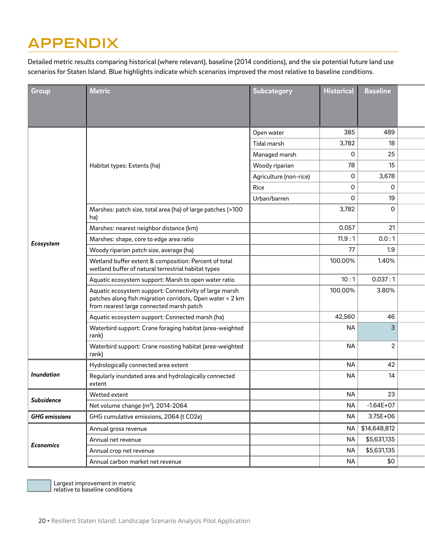# **APPENDIX**

Detailed metric results comparing historical (where relevant), baseline (2014 conditions), and the six potential future land use scenarios for Staten Island. Blue highlights indicate which scenarios improved the most relative to baseline conditions.

| Group                | <b>Metric</b>                                                                                                                                                   | Subcategory            | <b>Historical</b> | <b>Baseline</b>   |  |
|----------------------|-----------------------------------------------------------------------------------------------------------------------------------------------------------------|------------------------|-------------------|-------------------|--|
|                      |                                                                                                                                                                 |                        |                   |                   |  |
|                      |                                                                                                                                                                 |                        |                   |                   |  |
|                      |                                                                                                                                                                 | Open water             | 385               | 489               |  |
|                      |                                                                                                                                                                 | Tidal marsh            | 3,782             | 18                |  |
|                      |                                                                                                                                                                 | Managed marsh          | $\mathbf 0$       | 25                |  |
|                      | Habitat types: Extents (ha)                                                                                                                                     | Woody riparian         | 78                | 15                |  |
|                      |                                                                                                                                                                 | Agriculture (non-rice) | $\mathsf{O}$      | 3,678             |  |
|                      |                                                                                                                                                                 | Rice                   | $\mathsf 0$       | $\mathbf 0$       |  |
|                      |                                                                                                                                                                 | Urban/barren           | $\mathsf{O}$      | 19                |  |
|                      | Marshes: patch size, total area (ha) of large patches (>100<br>ha)                                                                                              |                        | 3,782             | $\mathsf{O}$      |  |
|                      | Marshes: nearest neighbor distance (km)                                                                                                                         |                        | 0.057             | 21                |  |
| Ecosystem            | Marshes: shape, core to edge area ratio                                                                                                                         |                        | 11.9:1            | 0.0:1             |  |
|                      | Woody riparian patch size, average (ha)                                                                                                                         |                        | 77                | 1.9               |  |
|                      | Wetland buffer extent & composition: Percent of total<br>wetland buffer of natural terrestrial habitat types                                                    |                        | 100.00%           | 1.40%             |  |
|                      | Aquatic ecosystem support: Marsh to open water ratio                                                                                                            |                        | 10:1              | 0.037:1           |  |
|                      | Aquatic ecosystem support: Connectivity of large marsh<br>patches along fish migration corridors, Open water < 2 km<br>from nearest large connected marsh patch |                        | 100.00%           | 3.80%             |  |
|                      | Aquatic ecosystem support: Connected marsh (ha)                                                                                                                 |                        | 42,560            | 46                |  |
|                      | Waterbird support: Crane foraging habitat (area-weighted<br>rank)                                                                                               |                        | <b>NA</b>         | 3 <sup>1</sup>    |  |
|                      | Waterbird support: Crane roosting habitat (area-weighted<br>rank)                                                                                               |                        | <b>NA</b>         | $\sqrt{2}$        |  |
|                      | Hydrologically connected area extent                                                                                                                            |                        | <b>NA</b>         | 42                |  |
| Inundation           | Regularly inundated area and hydrologically connected<br>extent                                                                                                 |                        | NA                | 14                |  |
| Subsidence           | Wetted extent                                                                                                                                                   |                        | NA                | 23                |  |
|                      | Net volume change (m <sup>3</sup> ), 2014-2064                                                                                                                  |                        | <b>NA</b>         | $-1.64E+07$       |  |
| <b>GHG</b> emissions | GHG cumulative emissions, 2064 (t CO2e)                                                                                                                         |                        | <b>NA</b>         | $3.75E+06$        |  |
|                      | Annual gross revenue                                                                                                                                            |                        |                   | NA   \$14,648,812 |  |
|                      | Annual net revenue                                                                                                                                              |                        | <b>NA</b>         | \$5,631,135       |  |
| <b>Economics</b>     | Annual crop net revenue                                                                                                                                         |                        | <b>NA</b>         | \$5,631,135       |  |
|                      | Annual carbon market net revenue                                                                                                                                |                        | <b>NA</b>         | \$0               |  |

Largest improvement in metric relative to baseline conditions